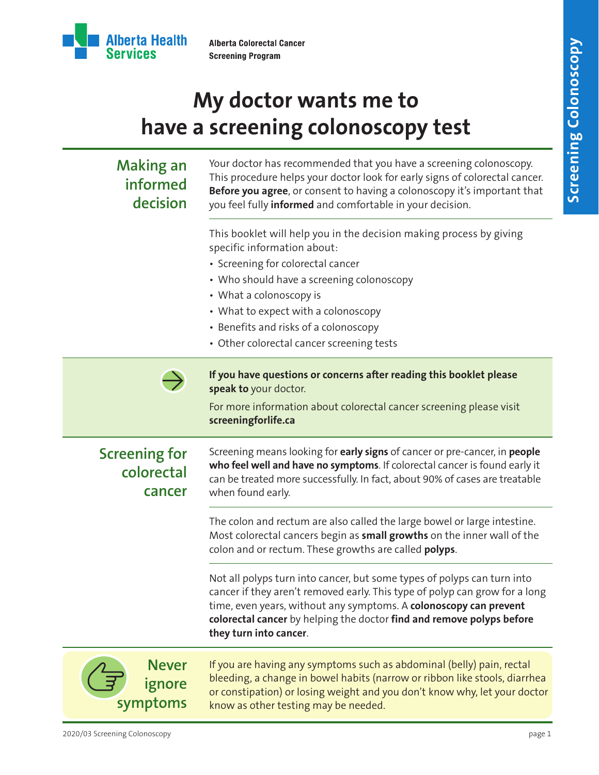

# **My doctor wants me to have a screening colonoscopy test**

| <b>Making an</b><br>informed<br>decision     | Your doctor has recommended that you have a screening colonoscopy.<br>This procedure helps your doctor look for early signs of colorectal cancer.<br>Before you agree, or consent to having a colonoscopy it's important that<br>you feel fully informed and comfortable in your decision.                                                   |
|----------------------------------------------|----------------------------------------------------------------------------------------------------------------------------------------------------------------------------------------------------------------------------------------------------------------------------------------------------------------------------------------------|
|                                              | This booklet will help you in the decision making process by giving<br>specific information about:<br>• Screening for colorectal cancer<br>• Who should have a screening colonoscopy<br>• What a colonoscopy is<br>• What to expect with a colonoscopy<br>• Benefits and risks of a colonoscopy<br>• Other colorectal cancer screening tests |
|                                              | If you have questions or concerns after reading this booklet please<br>speak to your doctor.<br>For more information about colorectal cancer screening please visit<br>screeningforlife.ca                                                                                                                                                   |
| <b>Screening for</b><br>colorectal<br>cancer | Screening means looking for early signs of cancer or pre-cancer, in people<br>who feel well and have no symptoms. If colorectal cancer is found early it<br>can be treated more successfully. In fact, about 90% of cases are treatable<br>when found early.                                                                                 |
|                                              | The colon and rectum are also called the large bowel or large intestine.<br>Most colorectal cancers begin as small growths on the inner wall of the<br>colon and or rectum. These growths are called polyps.                                                                                                                                 |
|                                              | Not all polyps turn into cancer, but some types of polyps can turn into<br>cancer if they aren't removed early. This type of polyp can grow for a long<br>time, even years, without any symptoms. A colonoscopy can prevent<br>colorectal cancer by helping the doctor find and remove polyps before<br>they turn into cancer.               |
| <b>Never</b><br>ignore<br>symptoms           | If you are having any symptoms such as abdominal (belly) pain, rectal<br>bleeding, a change in bowel habits (narrow or ribbon like stools, diarrhea<br>or constipation) or losing weight and you don't know why, let your doctor<br>know as other testing may be needed.                                                                     |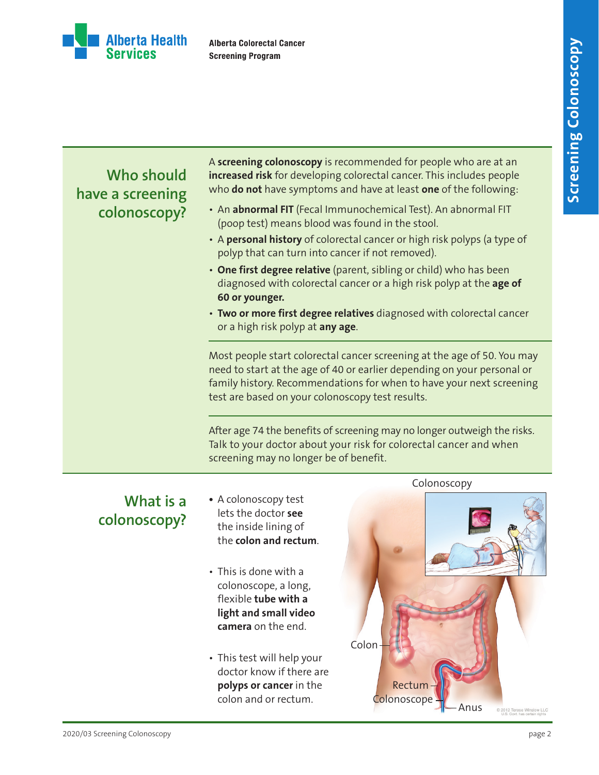

## **Who should have a screening colonoscopy?**

A **screening colonoscopy** is recommended for people who are at an **increased risk** for developing colorectal cancer. This includes people who **do not** have symptoms and have at least **one** of the following:

- An **abnormal FIT** (Fecal Immunochemical Test). An abnormal FIT (poop test) means blood was found in the stool.
- A **personal history** of colorectal cancer or high risk polyps (a type of polyp that can turn into cancer if not removed).
- **One first degree relative** (parent, sibling or child) who has been diagnosed with colorectal cancer or a high risk polyp at the **age of 60 or younger.**
- **Two or more first degree relatives** diagnosed with colorectal cancer or a high risk polyp at **any age**.

Most people start colorectal cancer screening at the age of 50. You may need to start at the age of 40 or earlier depending on your personal or family history. Recommendations for when to have your next screening test are based on your colonoscopy test results.

After age 74 the benefits of screening may no longer outweigh the risks. Talk to your doctor about your risk for colorectal cancer and when screening may no longer be of benefit.

## **What is a colonoscopy?**

- **•** A colonoscopy test lets the doctor **see**  the inside lining of the **colon and rectum**.
- This is done with a colonoscope, a long, flexible **tube with a light and small video camera** on the end.
- This test will help your doctor know if there are **polyps or cancer** in the colon and or rectum.

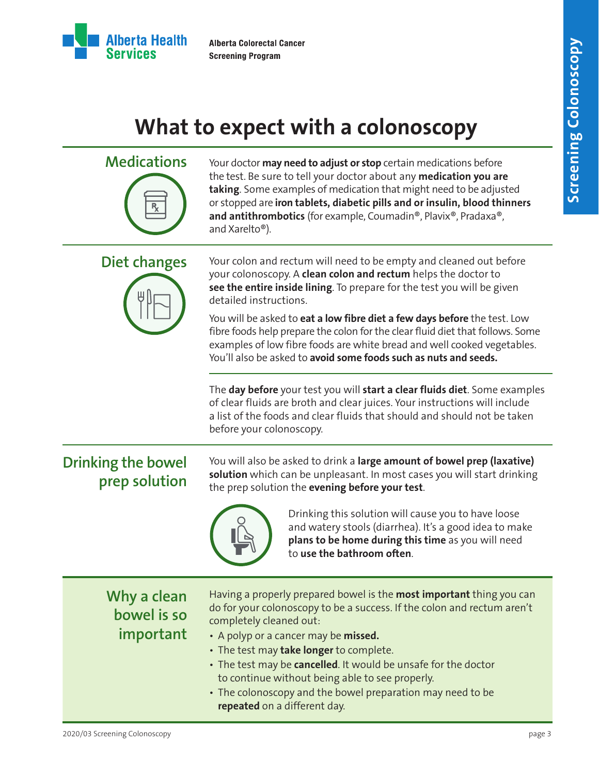

# **What to expect with a colonoscopy**

| <b>Medications</b>                         | Your doctor may need to adjust or stop certain medications before<br>the test. Be sure to tell your doctor about any medication you are<br>taking. Some examples of medication that might need to be adjusted<br>or stopped are iron tablets, diabetic pills and or insulin, blood thinners<br>and antithrombotics (for example, Coumadin®, Plavix®, Pradaxa®,<br>and Xarelto <sup>®</sup> ).                                                                                                                                                           |
|--------------------------------------------|---------------------------------------------------------------------------------------------------------------------------------------------------------------------------------------------------------------------------------------------------------------------------------------------------------------------------------------------------------------------------------------------------------------------------------------------------------------------------------------------------------------------------------------------------------|
| Diet changes                               | Your colon and rectum will need to be empty and cleaned out before<br>your colonoscopy. A clean colon and rectum helps the doctor to<br>see the entire inside lining. To prepare for the test you will be given<br>detailed instructions.<br>You will be asked to eat a low fibre diet a few days before the test. Low<br>fibre foods help prepare the colon for the clear fluid diet that follows. Some<br>examples of low fibre foods are white bread and well cooked vegetables.<br>You'll also be asked to avoid some foods such as nuts and seeds. |
|                                            | The day before your test you will start a clear fluids diet. Some examples<br>of clear fluids are broth and clear juices. Your instructions will include<br>a list of the foods and clear fluids that should and should not be taken<br>before your colonoscopy.                                                                                                                                                                                                                                                                                        |
| <b>Drinking the bowel</b><br>prep solution | You will also be asked to drink a large amount of bowel prep (laxative)<br>solution which can be unpleasant. In most cases you will start drinking<br>the prep solution the evening before your test.<br>Drinking this solution will cause you to have loose<br>and watery stools (diarrhea). It's a good idea to make<br>plans to be home during this time as you will need<br>to use the bathroom often.                                                                                                                                              |
| Why a clean<br>bowel is so<br>important    | Having a properly prepared bowel is the most important thing you can<br>do for your colonoscopy to be a success. If the colon and rectum aren't<br>completely cleaned out:<br>• A polyp or a cancer may be missed.<br>• The test may take longer to complete.<br>• The test may be cancelled. It would be unsafe for the doctor<br>to continue without being able to see properly.<br>• The colonoscopy and the bowel preparation may need to be<br>repeated on a different day.                                                                        |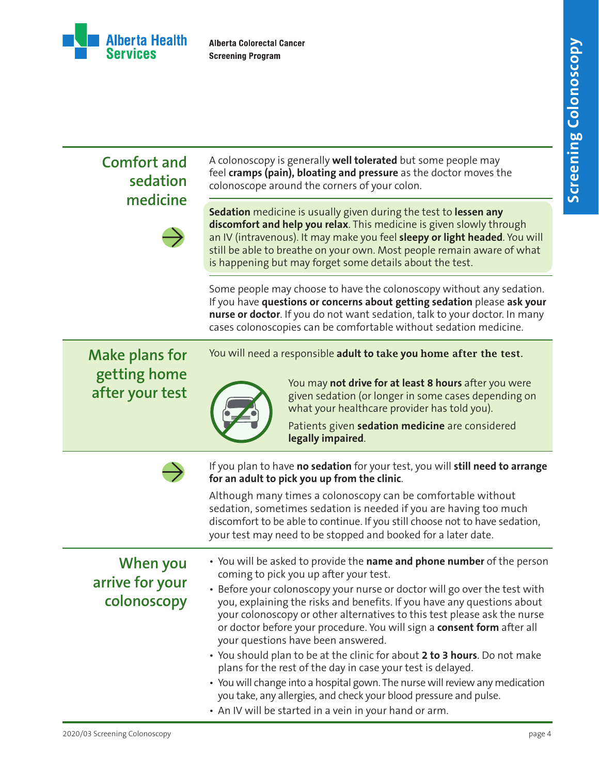

| <b>Comfort and</b><br>sedation<br>medicine               | A colonoscopy is generally <b>well tolerated</b> but some people may<br>feel cramps (pain), bloating and pressure as the doctor moves the<br>colonoscope around the corners of your colon.                                                                                                                                                                                                                                                                                                                                                                                                                                                                                                                                                                                                                                       |
|----------------------------------------------------------|----------------------------------------------------------------------------------------------------------------------------------------------------------------------------------------------------------------------------------------------------------------------------------------------------------------------------------------------------------------------------------------------------------------------------------------------------------------------------------------------------------------------------------------------------------------------------------------------------------------------------------------------------------------------------------------------------------------------------------------------------------------------------------------------------------------------------------|
|                                                          | Sedation medicine is usually given during the test to lessen any<br>discomfort and help you relax. This medicine is given slowly through<br>an IV (intravenous). It may make you feel sleepy or light headed. You will<br>still be able to breathe on your own. Most people remain aware of what<br>is happening but may forget some details about the test.                                                                                                                                                                                                                                                                                                                                                                                                                                                                     |
|                                                          | Some people may choose to have the colonoscopy without any sedation.<br>If you have questions or concerns about getting sedation please ask your<br>nurse or doctor. If you do not want sedation, talk to your doctor. In many<br>cases colonoscopies can be comfortable without sedation medicine.                                                                                                                                                                                                                                                                                                                                                                                                                                                                                                                              |
| <b>Make plans for</b><br>getting home<br>after your test | You will need a responsible adult to take you home after the test.<br>You may not drive for at least 8 hours after you were<br>given sedation (or longer in some cases depending on<br>what your healthcare provider has told you).<br>Patients given sedation medicine are considered<br>legally impaired.                                                                                                                                                                                                                                                                                                                                                                                                                                                                                                                      |
|                                                          | If you plan to have no sedation for your test, you will still need to arrange<br>for an adult to pick you up from the clinic.<br>Although many times a colonoscopy can be comfortable without<br>sedation, sometimes sedation is needed if you are having too much<br>discomfort to be able to continue. If you still choose not to have sedation,<br>your test may need to be stopped and booked for a later date.                                                                                                                                                                                                                                                                                                                                                                                                              |
| When you<br>arrive for your<br>colonoscopy               | • You will be asked to provide the name and phone number of the person<br>coming to pick you up after your test.<br>• Before your colonoscopy your nurse or doctor will go over the test with<br>you, explaining the risks and benefits. If you have any questions about<br>your colonoscopy or other alternatives to this test please ask the nurse<br>or doctor before your procedure. You will sign a consent form after all<br>your questions have been answered.<br>• You should plan to be at the clinic for about 2 to 3 hours. Do not make<br>plans for the rest of the day in case your test is delayed.<br>• You will change into a hospital gown. The nurse will review any medication<br>you take, any allergies, and check your blood pressure and pulse.<br>• An IV will be started in a vein in your hand or arm. |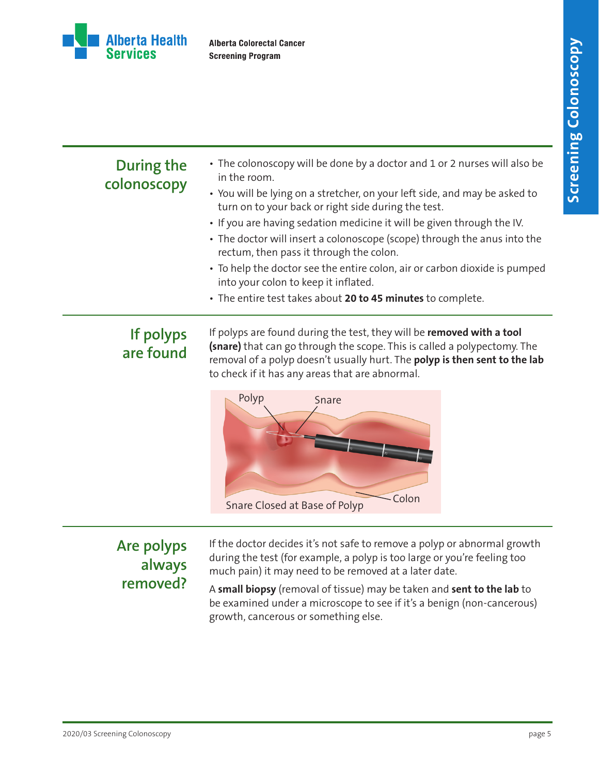

### **During the colonoscopy**

• The colonoscopy will be done by a doctor and 1 or 2 nurses will also be in the room.

### • You will be lying on a stretcher, on your left side, and may be asked to turn on to your back or right side during the test.

- If you are having sedation medicine it will be given through the IV.
- The doctor will insert a colonoscope (scope) through the anus into the rectum, then pass it through the colon.
- To help the doctor see the entire colon, air or carbon dioxide is pumped into your colon to keep it inflated.
- The entire test takes about **20 to 45 minutes** to complete.

## **If polyps are found**

If polyps are found during the test, they will be **removed with a tool (snare)** that can go through the scope. This is called a polypectomy. The removal of a polyp doesn't usually hurt. The **polyp is then sent to the lab** to check if it has any areas that are abnormal.



## **Are polyps always removed?**

If the doctor decides it's not safe to remove a polyp or abnormal growth during the test (for example, a polyp is too large or you're feeling too much pain) it may need to be removed at a later date.

A **small biopsy** (removal of tissue) may be taken and **sent to the lab** to be examined under a microscope to see if it's a benign (non-cancerous) growth, cancerous or something else.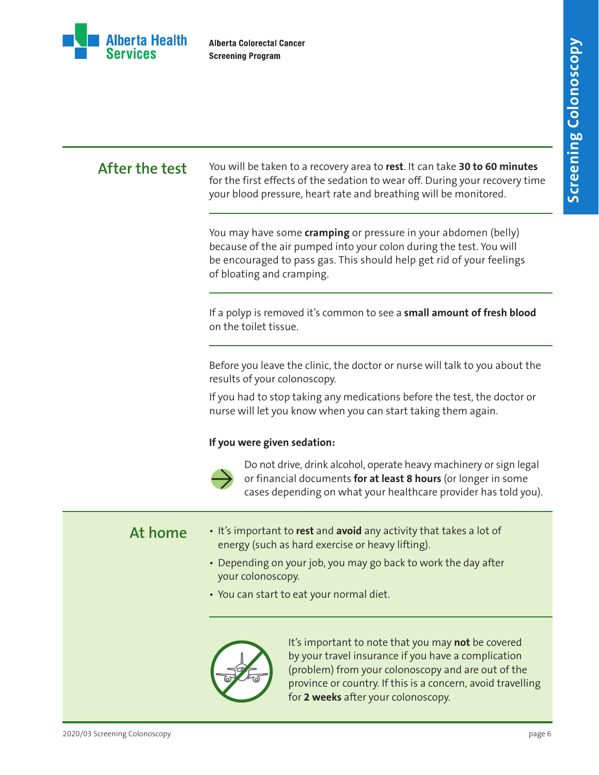

**After the test** You will be taken to a recovery area to **rest**. It can take **30 to 60 minutes** for the first effects of the sedation to wear off. During your recovery time your blood pressure, heart rate and breathing will be monitored.

> You may have some **cramping** or pressure in your abdomen (belly) because of the air pumped into your colon during the test. You will be encouraged to pass gas. This should help get rid of your feelings of bloating and cramping.

If a polyp is removed it's common to see a **small amount of fresh blood** on the toilet tissue.

Before you leave the clinic, the doctor or nurse will talk to you about the results of your colonoscopy.

If you had to stop taking any medications before the test, the doctor or nurse will let you know when you can start taking them again.

### **If you were given sedation:**



Do not drive, drink alcohol, operate heavy machinery or sign legal or financial documents **for at least 8 hours** (or longer in some cases depending on what your healthcare provider has told you).

- **At home** It's important to **rest** and **avoid** any activity that takes a lot of energy (such as hard exercise or heavy lifting).
	- Depending on your job, you may go back to work the day after your colonoscopy.
	- You can start to eat your normal diet.



It's important to note that you may **not** be covered by your travel insurance if you have a complication (problem) from your colonoscopy and are out of the province or country. If this is a concern, avoid travelling for **2 weeks** after your colonoscopy.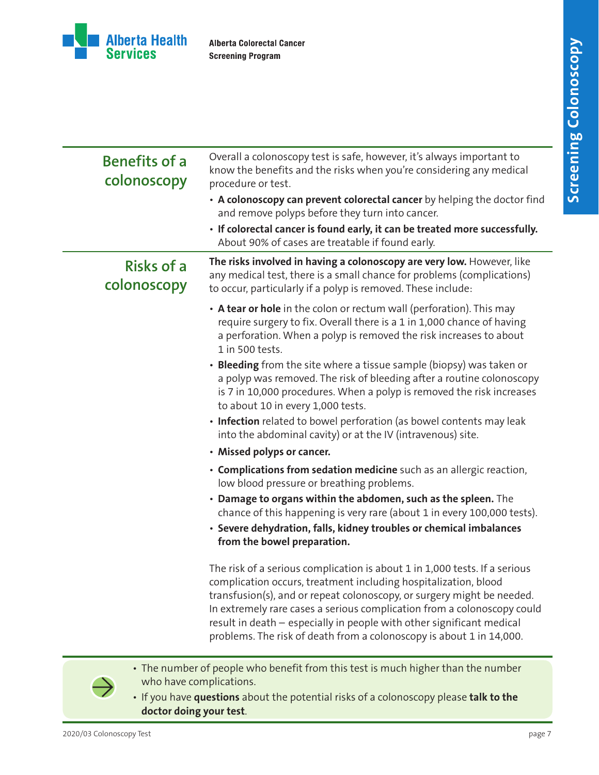

| <b>Benefits of a</b><br>colonoscopy | Overall a colonoscopy test is safe, however, it's always important to<br>know the benefits and the risks when you're considering any medical<br>procedure or test.                                                                                                                                                                                                                                                                                  |
|-------------------------------------|-----------------------------------------------------------------------------------------------------------------------------------------------------------------------------------------------------------------------------------------------------------------------------------------------------------------------------------------------------------------------------------------------------------------------------------------------------|
|                                     | • A colonoscopy can prevent colorectal cancer by helping the doctor find<br>and remove polyps before they turn into cancer.                                                                                                                                                                                                                                                                                                                         |
|                                     | · If colorectal cancer is found early, it can be treated more successfully.<br>About 90% of cases are treatable if found early.                                                                                                                                                                                                                                                                                                                     |
| <b>Risks of a</b><br>colonoscopy    | The risks involved in having a colonoscopy are very low. However, like<br>any medical test, there is a small chance for problems (complications)<br>to occur, particularly if a polyp is removed. These include:                                                                                                                                                                                                                                    |
|                                     | • A tear or hole in the colon or rectum wall (perforation). This may<br>require surgery to fix. Overall there is a 1 in 1,000 chance of having<br>a perforation. When a polyp is removed the risk increases to about<br>1 in 500 tests.                                                                                                                                                                                                             |
|                                     | • Bleeding from the site where a tissue sample (biopsy) was taken or<br>a polyp was removed. The risk of bleeding after a routine colonoscopy<br>is 7 in 10,000 procedures. When a polyp is removed the risk increases<br>to about 10 in every 1,000 tests.                                                                                                                                                                                         |
|                                     | • Infection related to bowel perforation (as bowel contents may leak<br>into the abdominal cavity) or at the IV (intravenous) site.                                                                                                                                                                                                                                                                                                                 |
|                                     | • Missed polyps or cancer.                                                                                                                                                                                                                                                                                                                                                                                                                          |
|                                     | • Complications from sedation medicine such as an allergic reaction,<br>low blood pressure or breathing problems.                                                                                                                                                                                                                                                                                                                                   |
|                                     | • Damage to organs within the abdomen, such as the spleen. The<br>chance of this happening is very rare (about 1 in every 100,000 tests).                                                                                                                                                                                                                                                                                                           |
|                                     | · Severe dehydration, falls, kidney troubles or chemical imbalances<br>from the bowel preparation.                                                                                                                                                                                                                                                                                                                                                  |
|                                     | The risk of a serious complication is about 1 in 1,000 tests. If a serious<br>complication occurs, treatment including hospitalization, blood<br>transfusion(s), and or repeat colonoscopy, or surgery might be needed.<br>In extremely rare cases a serious complication from a colonoscopy could<br>result in death - especially in people with other significant medical<br>problems. The risk of death from a colonoscopy is about 1 in 14,000. |

• The number of people who benefit from this test is much higher than the number who have complications.

• If you have **questions** about the potential risks of a colonoscopy please **talk to the doctor doing your test**.

 $\rightarrow$